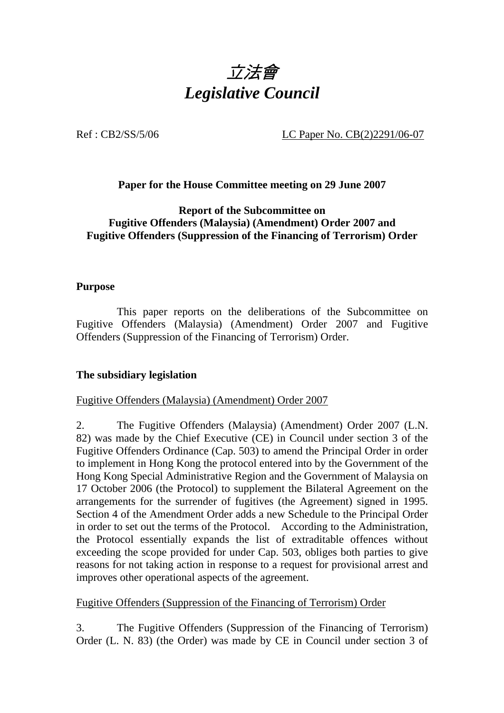

Ref : CB2/SS/5/06 LC Paper No. CB(2)2291/06-07

## **Paper for the House Committee meeting on 29 June 2007**

**Report of the Subcommittee on Fugitive Offenders (Malaysia) (Amendment) Order 2007 and Fugitive Offenders (Suppression of the Financing of Terrorism) Order** 

### **Purpose**

 This paper reports on the deliberations of the Subcommittee on Fugitive Offenders (Malaysia) (Amendment) Order 2007 and Fugitive Offenders (Suppression of the Financing of Terrorism) Order.

## **The subsidiary legislation**

### Fugitive Offenders (Malaysia) (Amendment) Order 2007

2. The Fugitive Offenders (Malaysia) (Amendment) Order 2007 (L.N. 82) was made by the Chief Executive (CE) in Council under section 3 of the Fugitive Offenders Ordinance (Cap. 503) to amend the Principal Order in order to implement in Hong Kong the protocol entered into by the Government of the Hong Kong Special Administrative Region and the Government of Malaysia on 17 October 2006 (the Protocol) to supplement the Bilateral Agreement on the arrangements for the surrender of fugitives (the Agreement) signed in 1995. Section 4 of the Amendment Order adds a new Schedule to the Principal Order in order to set out the terms of the Protocol. According to the Administration, the Protocol essentially expands the list of extraditable offences without exceeding the scope provided for under Cap. 503, obliges both parties to give reasons for not taking action in response to a request for provisional arrest and improves other operational aspects of the agreement.

### Fugitive Offenders (Suppression of the Financing of Terrorism) Order

3. The Fugitive Offenders (Suppression of the Financing of Terrorism) Order (L. N. 83) (the Order) was made by CE in Council under section 3 of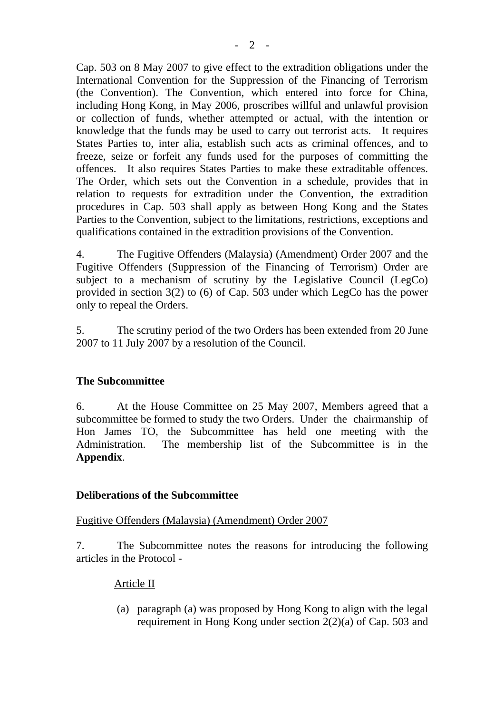Cap. 503 on 8 May 2007 to give effect to the extradition obligations under the International Convention for the Suppression of the Financing of Terrorism (the Convention). The Convention, which entered into force for China, including Hong Kong, in May 2006, proscribes willful and unlawful provision or collection of funds, whether attempted or actual, with the intention or knowledge that the funds may be used to carry out terrorist acts. It requires States Parties to, inter alia, establish such acts as criminal offences, and to freeze, seize or forfeit any funds used for the purposes of committing the offences. It also requires States Parties to make these extraditable offences. The Order, which sets out the Convention in a schedule, provides that in relation to requests for extradition under the Convention, the extradition procedures in Cap. 503 shall apply as between Hong Kong and the States Parties to the Convention, subject to the limitations, restrictions, exceptions and qualifications contained in the extradition provisions of the Convention.

4. The Fugitive Offenders (Malaysia) (Amendment) Order 2007 and the Fugitive Offenders (Suppression of the Financing of Terrorism) Order are subject to a mechanism of scrutiny by the Legislative Council (LegCo) provided in section 3(2) to (6) of Cap. 503 under which LegCo has the power only to repeal the Orders.

5. The scrutiny period of the two Orders has been extended from 20 June 2007 to 11 July 2007 by a resolution of the Council.

## **The Subcommittee**

6. At the House Committee on 25 May 2007, Members agreed that a subcommittee be formed to study the two Orders. Under the chairmanship of Hon James TO, the Subcommittee has held one meeting with the Administration. The membership list of the Subcommittee is in the **Appendix**.

## **Deliberations of the Subcommittee**

## Fugitive Offenders (Malaysia) (Amendment) Order 2007

7. The Subcommittee notes the reasons for introducing the following articles in the Protocol -

## Article II

(a) paragraph (a) was proposed by Hong Kong to align with the legal requirement in Hong Kong under section 2(2)(a) of Cap. 503 and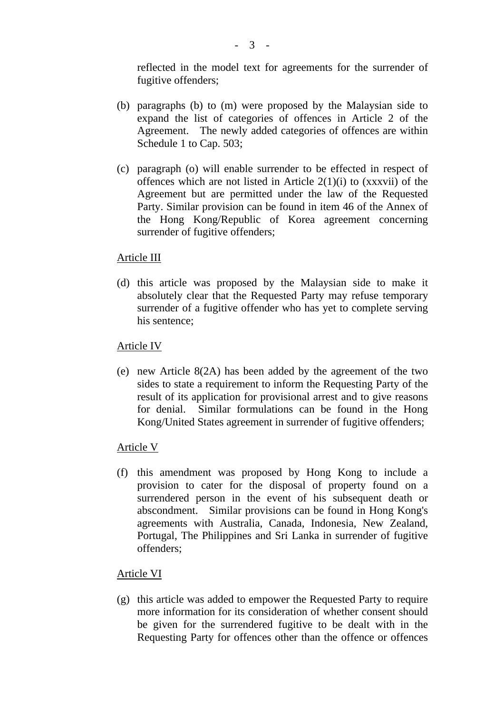reflected in the model text for agreements for the surrender of fugitive offenders;

- (b) paragraphs (b) to (m) were proposed by the Malaysian side to expand the list of categories of offences in Article 2 of the Agreement. The newly added categories of offences are within Schedule 1 to Cap. 503;
- (c) paragraph (o) will enable surrender to be effected in respect of offences which are not listed in Article  $2(1)(i)$  to (xxxvii) of the Agreement but are permitted under the law of the Requested Party. Similar provision can be found in item 46 of the Annex of the Hong Kong/Republic of Korea agreement concerning surrender of fugitive offenders;

## Article III

(d) this article was proposed by the Malaysian side to make it absolutely clear that the Requested Party may refuse temporary surrender of a fugitive offender who has yet to complete serving his sentence;

## Article IV

(e) new Article 8(2A) has been added by the agreement of the two sides to state a requirement to inform the Requesting Party of the result of its application for provisional arrest and to give reasons for denial. Similar formulations can be found in the Hong Kong/United States agreement in surrender of fugitive offenders;

## Article V

(f) this amendment was proposed by Hong Kong to include a provision to cater for the disposal of property found on a surrendered person in the event of his subsequent death or abscondment. Similar provisions can be found in Hong Kong's agreements with Australia, Canada, Indonesia, New Zealand, Portugal, The Philippines and Sri Lanka in surrender of fugitive offenders;

## Article VI

(g) this article was added to empower the Requested Party to require more information for its consideration of whether consent should be given for the surrendered fugitive to be dealt with in the Requesting Party for offences other than the offence or offences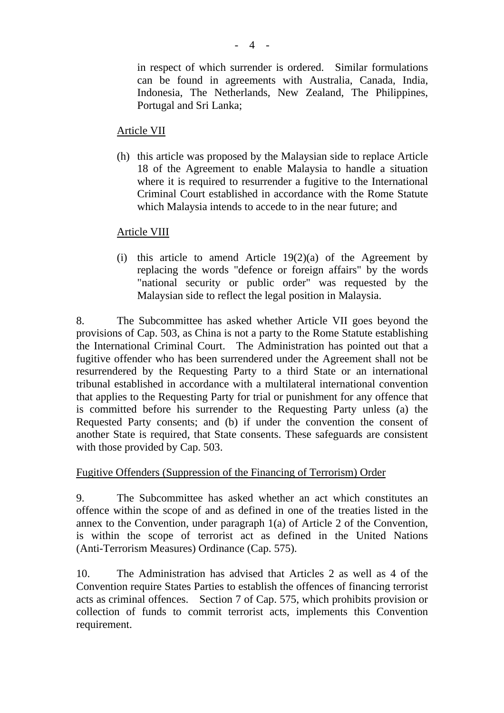in respect of which surrender is ordered. Similar formulations can be found in agreements with Australia, Canada, India, Indonesia, The Netherlands, New Zealand, The Philippines, Portugal and Sri Lanka;

## Article VII

(h) this article was proposed by the Malaysian side to replace Article 18 of the Agreement to enable Malaysia to handle a situation where it is required to resurrender a fugitive to the International Criminal Court established in accordance with the Rome Statute which Malaysia intends to accede to in the near future; and

## Article VIII

(i) this article to amend Article  $19(2)(a)$  of the Agreement by replacing the words "defence or foreign affairs" by the words "national security or public order" was requested by the Malaysian side to reflect the legal position in Malaysia.

8. The Subcommittee has asked whether Article VII goes beyond the provisions of Cap. 503, as China is not a party to the Rome Statute establishing the International Criminal Court. The Administration has pointed out that a fugitive offender who has been surrendered under the Agreement shall not be resurrendered by the Requesting Party to a third State or an international tribunal established in accordance with a multilateral international convention that applies to the Requesting Party for trial or punishment for any offence that is committed before his surrender to the Requesting Party unless (a) the Requested Party consents; and (b) if under the convention the consent of another State is required, that State consents. These safeguards are consistent with those provided by Cap. 503.

## Fugitive Offenders (Suppression of the Financing of Terrorism) Order

9. The Subcommittee has asked whether an act which constitutes an offence within the scope of and as defined in one of the treaties listed in the annex to the Convention, under paragraph 1(a) of Article 2 of the Convention, is within the scope of terrorist act as defined in the United Nations (Anti-Terrorism Measures) Ordinance (Cap. 575).

10. The Administration has advised that Articles 2 as well as 4 of the Convention require States Parties to establish the offences of financing terrorist acts as criminal offences. Section 7 of Cap. 575, which prohibits provision or collection of funds to commit terrorist acts, implements this Convention requirement.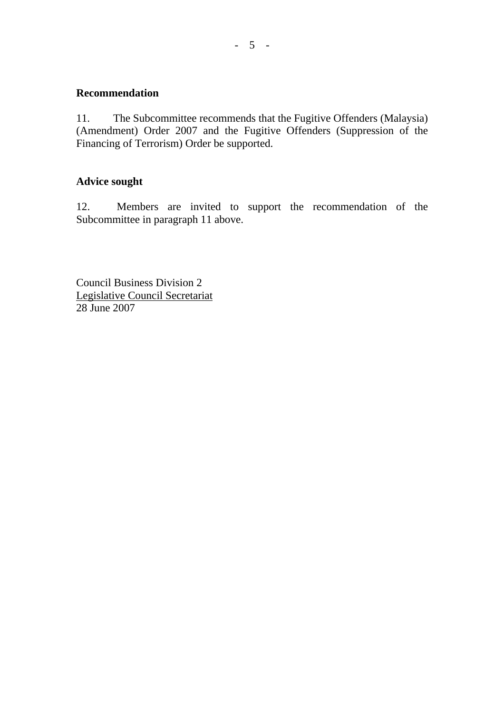### **Recommendation**

11. The Subcommittee recommends that the Fugitive Offenders (Malaysia) (Amendment) Order 2007 and the Fugitive Offenders (Suppression of the Financing of Terrorism) Order be supported.

## **Advice sought**

12. Members are invited to support the recommendation of the Subcommittee in paragraph 11 above.

Council Business Division 2 Legislative Council Secretariat 28 June 2007